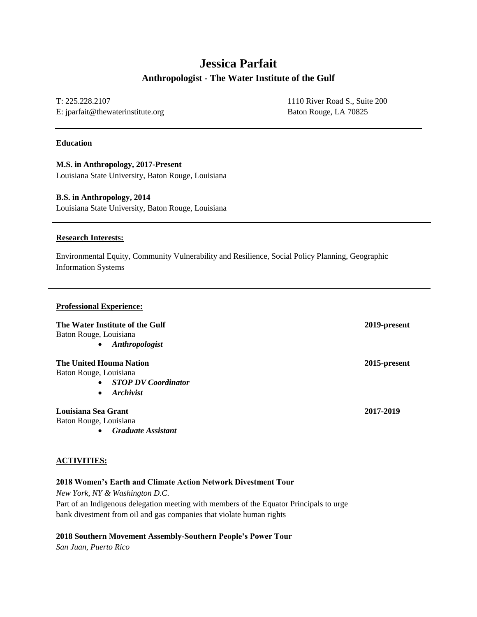# **Jessica Parfait Anthropologist - The Water Institute of the Gulf**

T: 225.228.2107 E: jparfait@thewaterinstitute.org 1110 River Road S., Suite 200 Baton Rouge, LA 70825

# **Education**

**M.S. in Anthropology, 2017-Present** Louisiana State University, Baton Rouge, Louisiana

#### **B.S. in Anthropology, 2014**

Louisiana State University, Baton Rouge, Louisiana

#### **Research Interests:**

Environmental Equity, Community Vulnerability and Resilience, Social Policy Planning, Geographic Information Systems

#### **Professional Experience:**

# **The Water Institute of the Gulf 2019-present** Baton Rouge, Louisiana • *Anthropologist* **The United Houma Nation 2015-present** Baton Rouge, Louisiana • *STOP DV Coordinator* • *Archivist* **Louisiana Sea Grant 2017-2019** Baton Rouge, Louisiana

• *Graduate Assistant*

#### **ACTIVITIES:**

# **2018 Women's Earth and Climate Action Network Divestment Tour**

*New York, NY & Washington D.C*.

Part of an Indigenous delegation meeting with members of the Equator Principals to urge bank divestment from oil and gas companies that violate human rights

#### **2018 Southern Movement Assembly-Southern People's Power Tour**

*San Juan, Puerto Rico*